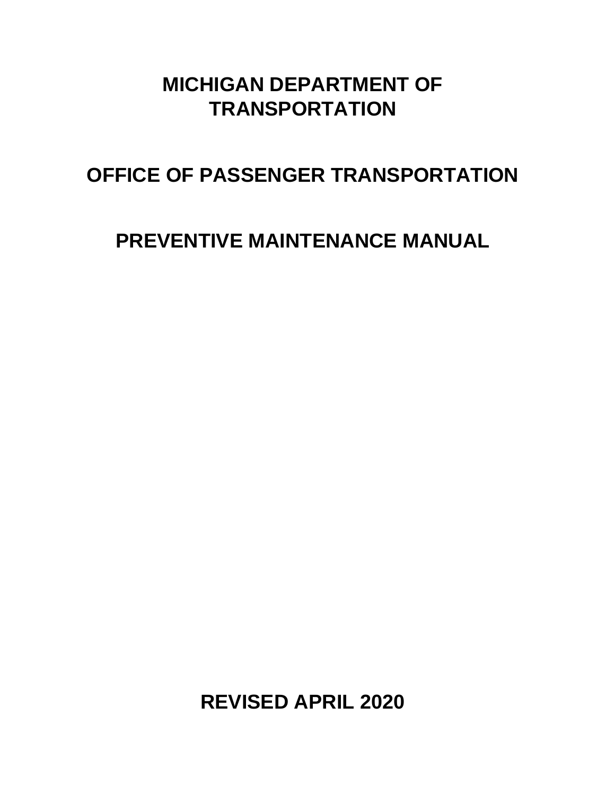# **MICHIGAN DEPARTMENT OF TRANSPORTATION**

# **OFFICE OF PASSENGER TRANSPORTATION**

# **PREVENTIVE MAINTENANCE MANUAL**

**REVISED APRIL 2020**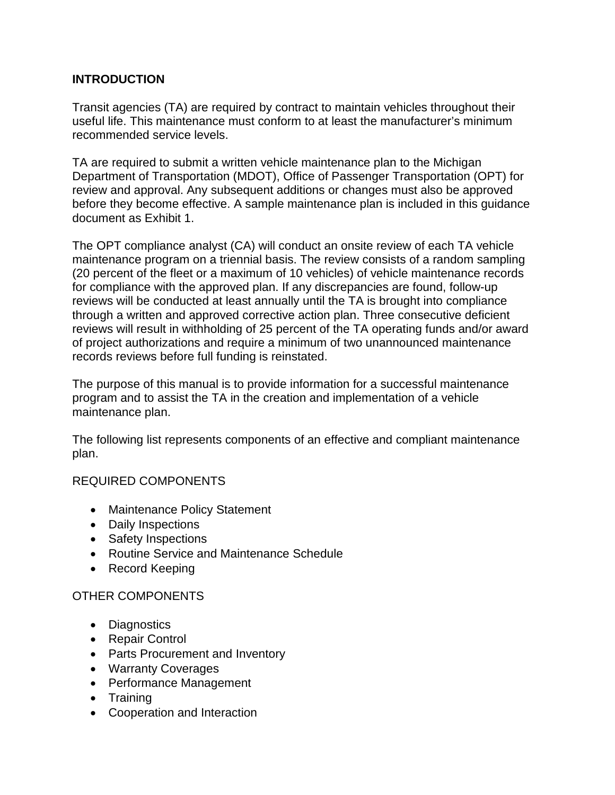#### **INTRODUCTION**

Transit agencies (TA) are required by contract to maintain vehicles throughout their useful life. This maintenance must conform to at least the manufacturer's minimum recommended service levels.

TA are required to submit a written vehicle maintenance plan to the Michigan Department of Transportation (MDOT), Office of Passenger Transportation (OPT) for review and approval. Any subsequent additions or changes must also be approved before they become effective. A sample maintenance plan is included in this guidance document as Exhibit 1.

The OPT compliance analyst (CA) will conduct an onsite review of each TA vehicle maintenance program on a triennial basis. The review consists of a random sampling (20 percent of the fleet or a maximum of 10 vehicles) of vehicle maintenance records for compliance with the approved plan. If any discrepancies are found, follow-up reviews will be conducted at least annually until the TA is brought into compliance through a written and approved corrective action plan. Three consecutive deficient reviews will result in withholding of 25 percent of the TA operating funds and/or award of project authorizations and require a minimum of two unannounced maintenance records reviews before full funding is reinstated.

The purpose of this manual is to provide information for a successful maintenance program and to assist the TA in the creation and implementation of a vehicle maintenance plan.

The following list represents components of an effective and compliant maintenance plan.

#### REQUIRED COMPONENTS

- Maintenance Policy Statement
- Daily Inspections
- Safety Inspections
- Routine Service and Maintenance Schedule
- Record Keeping

#### OTHER COMPONENTS

- Diagnostics
- Repair Control
- Parts Procurement and Inventory
- Warranty Coverages
- Performance Management
- Training
- Cooperation and Interaction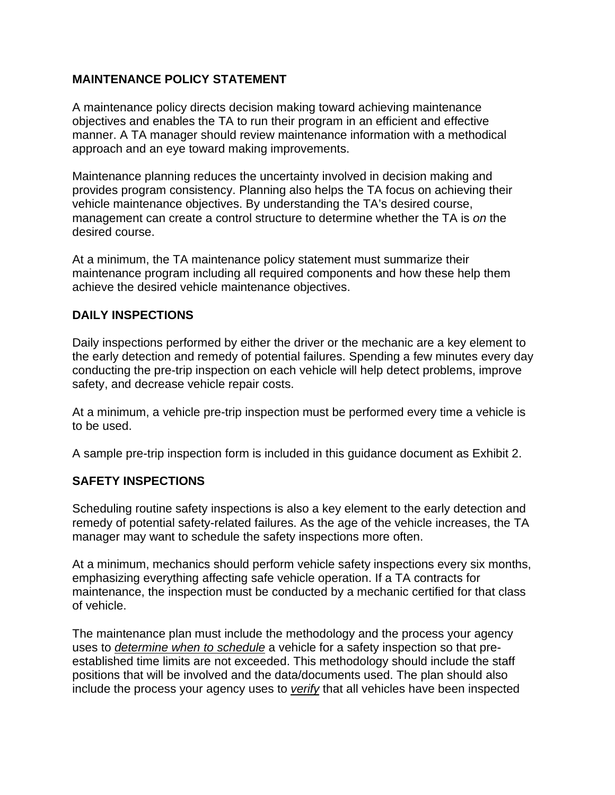#### **MAINTENANCE POLICY STATEMENT**

A maintenance policy directs decision making toward achieving maintenance objectives and enables the TA to run their program in an efficient and effective manner. A TA manager should review maintenance information with a methodical approach and an eye toward making improvements.

Maintenance planning reduces the uncertainty involved in decision making and provides program consistency. Planning also helps the TA focus on achieving their vehicle maintenance objectives. By understanding the TA's desired course, management can create a control structure to determine whether the TA is *on* the desired course.

At a minimum, the TA maintenance policy statement must summarize their maintenance program including all required components and how these help them achieve the desired vehicle maintenance objectives.

#### **DAILY INSPECTIONS**

Daily inspections performed by either the driver or the mechanic are a key element to the early detection and remedy of potential failures. Spending a few minutes every day conducting the pre-trip inspection on each vehicle will help detect problems, improve safety, and decrease vehicle repair costs.

At a minimum, a vehicle pre-trip inspection must be performed every time a vehicle is to be used.

A sample pre-trip inspection form is included in this guidance document as Exhibit 2.

#### **SAFETY INSPECTIONS**

Scheduling routine safety inspections is also a key element to the early detection and remedy of potential safety-related failures. As the age of the vehicle increases, the TA manager may want to schedule the safety inspections more often.

At a minimum, mechanics should perform vehicle safety inspections every six months, emphasizing everything affecting safe vehicle operation. If a TA contracts for maintenance, the inspection must be conducted by a mechanic certified for that class of vehicle.

The maintenance plan must include the methodology and the process your agency uses to *determine when to schedule* a vehicle for a safety inspection so that preestablished time limits are not exceeded. This methodology should include the staff positions that will be involved and the data/documents used. The plan should also include the process your agency uses to *verify* that all vehicles have been inspected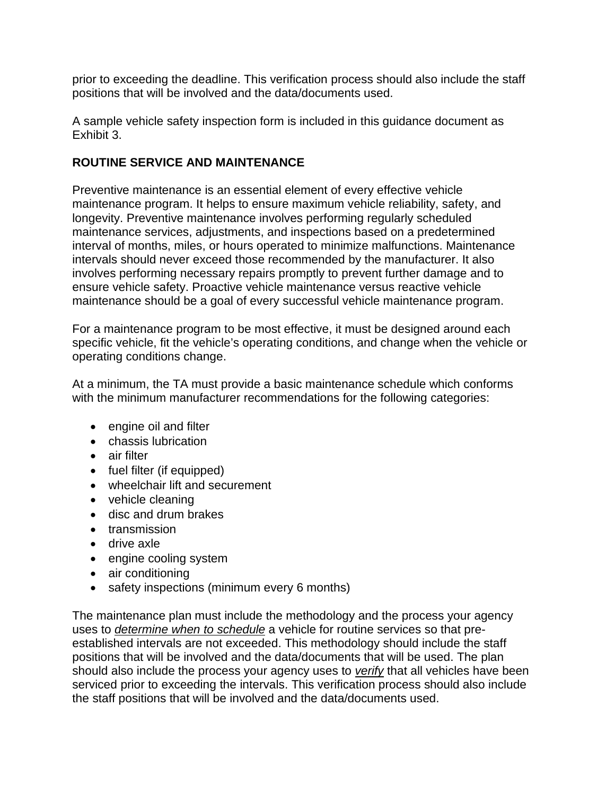prior to exceeding the deadline. This verification process should also include the staff positions that will be involved and the data/documents used.

A sample vehicle safety inspection form is included in this guidance document as Exhibit 3.

## **ROUTINE SERVICE AND MAINTENANCE**

Preventive maintenance is an essential element of every effective vehicle maintenance program. It helps to ensure maximum vehicle reliability, safety, and longevity. Preventive maintenance involves performing regularly scheduled maintenance services, adjustments, and inspections based on a predetermined interval of months, miles, or hours operated to minimize malfunctions. Maintenance intervals should never exceed those recommended by the manufacturer. It also involves performing necessary repairs promptly to prevent further damage and to ensure vehicle safety. Proactive vehicle maintenance versus reactive vehicle maintenance should be a goal of every successful vehicle maintenance program.

For a maintenance program to be most effective, it must be designed around each specific vehicle, fit the vehicle's operating conditions, and change when the vehicle or operating conditions change.

At a minimum, the TA must provide a basic maintenance schedule which conforms with the minimum manufacturer recommendations for the following categories:

- engine oil and filter
- chassis lubrication
- air filter
- fuel filter (if equipped)
- wheelchair lift and securement
- vehicle cleaning
- disc and drum brakes
- transmission
- drive axle
- engine cooling system
- air conditioning
- safety inspections (minimum every 6 months)

The maintenance plan must include the methodology and the process your agency uses to *determine when to schedule* a vehicle for routine services so that preestablished intervals are not exceeded. This methodology should include the staff positions that will be involved and the data/documents that will be used. The plan should also include the process your agency uses to *verify* that all vehicles have been serviced prior to exceeding the intervals. This verification process should also include the staff positions that will be involved and the data/documents used.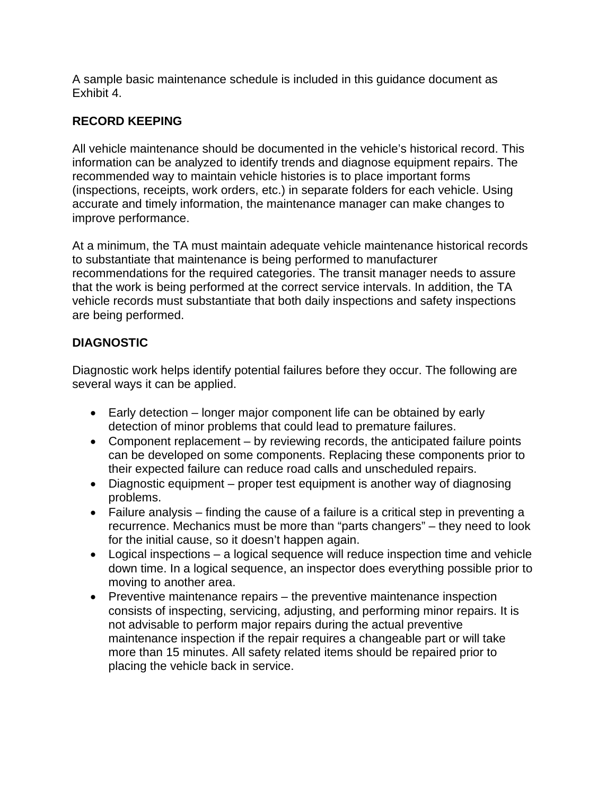A sample basic maintenance schedule is included in this guidance document as Exhibit 4.

## **RECORD KEEPING**

All vehicle maintenance should be documented in the vehicle's historical record. This information can be analyzed to identify trends and diagnose equipment repairs. The recommended way to maintain vehicle histories is to place important forms (inspections, receipts, work orders, etc.) in separate folders for each vehicle. Using accurate and timely information, the maintenance manager can make changes to improve performance.

At a minimum, the TA must maintain adequate vehicle maintenance historical records to substantiate that maintenance is being performed to manufacturer recommendations for the required categories. The transit manager needs to assure that the work is being performed at the correct service intervals. In addition, the TA vehicle records must substantiate that both daily inspections and safety inspections are being performed.

## **DIAGNOSTIC**

Diagnostic work helps identify potential failures before they occur. The following are several ways it can be applied.

- Early detection longer major component life can be obtained by early detection of minor problems that could lead to premature failures.
- Component replacement by reviewing records, the anticipated failure points can be developed on some components. Replacing these components prior to their expected failure can reduce road calls and unscheduled repairs.
- Diagnostic equipment proper test equipment is another way of diagnosing problems.
- Failure analysis finding the cause of a failure is a critical step in preventing a recurrence. Mechanics must be more than "parts changers" – they need to look for the initial cause, so it doesn't happen again.
- Logical inspections a logical sequence will reduce inspection time and vehicle down time. In a logical sequence, an inspector does everything possible prior to moving to another area.
- $\bullet$  Preventive maintenance repairs the preventive maintenance inspection consists of inspecting, servicing, adjusting, and performing minor repairs. It is not advisable to perform major repairs during the actual preventive maintenance inspection if the repair requires a changeable part or will take more than 15 minutes. All safety related items should be repaired prior to placing the vehicle back in service.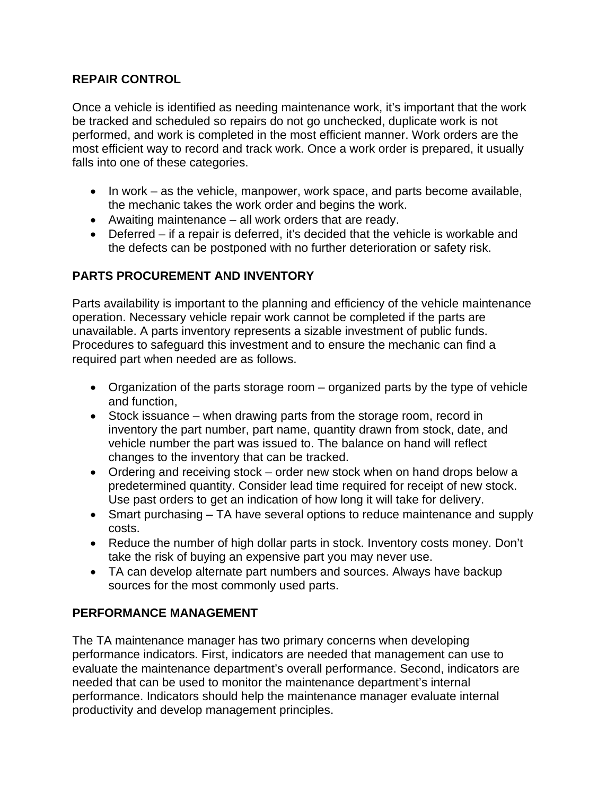#### **REPAIR CONTROL**

Once a vehicle is identified as needing maintenance work, it's important that the work be tracked and scheduled so repairs do not go unchecked, duplicate work is not performed, and work is completed in the most efficient manner. Work orders are the most efficient way to record and track work. Once a work order is prepared, it usually falls into one of these categories.

- $\bullet$  In work as the vehicle, manpower, work space, and parts become available, the mechanic takes the work order and begins the work.
- Awaiting maintenance all work orders that are ready.
- Deferred if a repair is deferred, it's decided that the vehicle is workable and the defects can be postponed with no further deterioration or safety risk.

## **PARTS PROCUREMENT AND INVENTORY**

Parts availability is important to the planning and efficiency of the vehicle maintenance operation. Necessary vehicle repair work cannot be completed if the parts are unavailable. A parts inventory represents a sizable investment of public funds. Procedures to safeguard this investment and to ensure the mechanic can find a required part when needed are as follows.

- Organization of the parts storage room organized parts by the type of vehicle and function,
- Stock issuance when drawing parts from the storage room, record in inventory the part number, part name, quantity drawn from stock, date, and vehicle number the part was issued to. The balance on hand will reflect changes to the inventory that can be tracked.
- Ordering and receiving stock order new stock when on hand drops below a predetermined quantity. Consider lead time required for receipt of new stock. Use past orders to get an indication of how long it will take for delivery.
- Smart purchasing TA have several options to reduce maintenance and supply costs.
- Reduce the number of high dollar parts in stock. Inventory costs money. Don't take the risk of buying an expensive part you may never use.
- TA can develop alternate part numbers and sources. Always have backup sources for the most commonly used parts.

### **PERFORMANCE MANAGEMENT**

The TA maintenance manager has two primary concerns when developing performance indicators. First, indicators are needed that management can use to evaluate the maintenance department's overall performance. Second, indicators are needed that can be used to monitor the maintenance department's internal performance. Indicators should help the maintenance manager evaluate internal productivity and develop management principles.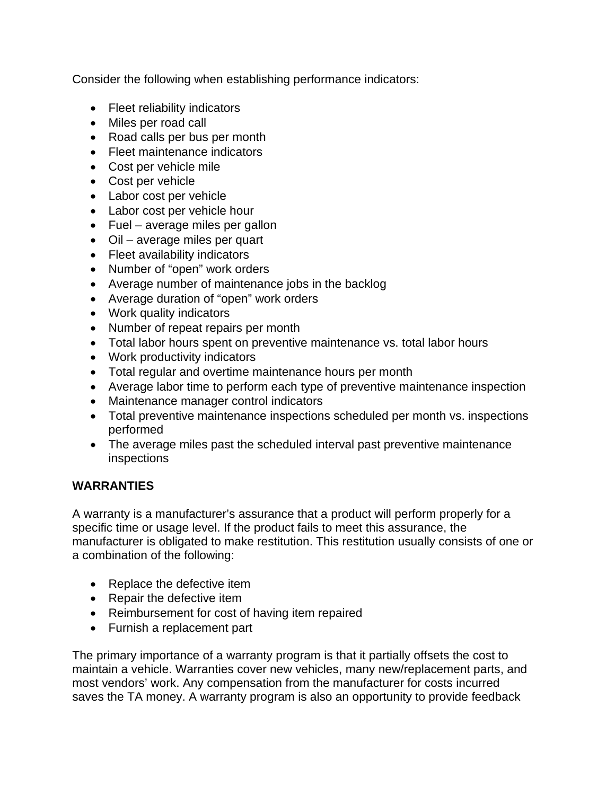Consider the following when establishing performance indicators:

- Fleet reliability indicators
- Miles per road call
- Road calls per bus per month
- Fleet maintenance indicators
- Cost per vehicle mile
- Cost per vehicle
- Labor cost per vehicle
- Labor cost per vehicle hour
- Fuel average miles per gallon
- Oil average miles per quart
- Fleet availability indicators
- Number of "open" work orders
- Average number of maintenance jobs in the backlog
- Average duration of "open" work orders
- Work quality indicators
- Number of repeat repairs per month
- Total labor hours spent on preventive maintenance vs. total labor hours
- Work productivity indicators
- Total regular and overtime maintenance hours per month
- Average labor time to perform each type of preventive maintenance inspection
- Maintenance manager control indicators
- Total preventive maintenance inspections scheduled per month vs. inspections performed
- The average miles past the scheduled interval past preventive maintenance inspections

#### **WARRANTIES**

A warranty is a manufacturer's assurance that a product will perform properly for a specific time or usage level. If the product fails to meet this assurance, the manufacturer is obligated to make restitution. This restitution usually consists of one or a combination of the following:

- Replace the defective item
- Repair the defective item
- Reimbursement for cost of having item repaired
- Furnish a replacement part

The primary importance of a warranty program is that it partially offsets the cost to maintain a vehicle. Warranties cover new vehicles, many new/replacement parts, and most vendors' work. Any compensation from the manufacturer for costs incurred saves the TA money. A warranty program is also an opportunity to provide feedback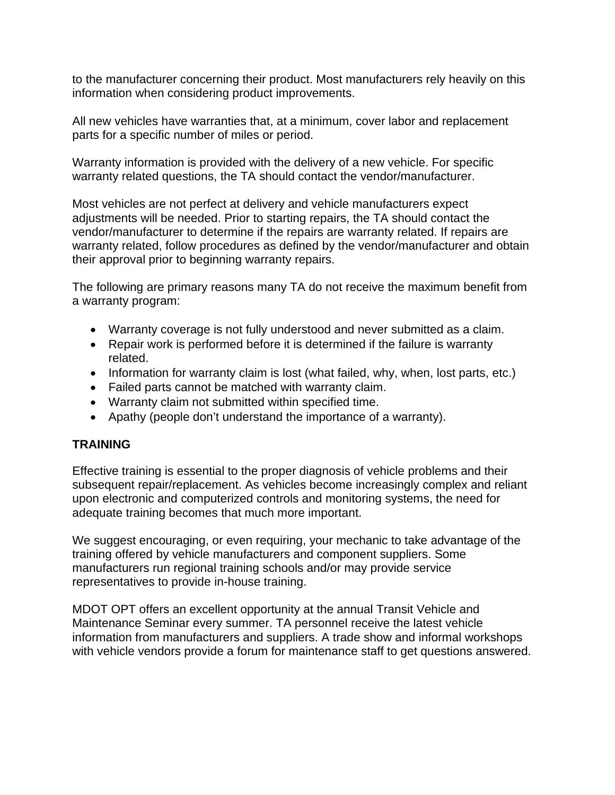to the manufacturer concerning their product. Most manufacturers rely heavily on this information when considering product improvements.

All new vehicles have warranties that, at a minimum, cover labor and replacement parts for a specific number of miles or period.

Warranty information is provided with the delivery of a new vehicle. For specific warranty related questions, the TA should contact the vendor/manufacturer.

Most vehicles are not perfect at delivery and vehicle manufacturers expect adjustments will be needed. Prior to starting repairs, the TA should contact the vendor/manufacturer to determine if the repairs are warranty related. If repairs are warranty related, follow procedures as defined by the vendor/manufacturer and obtain their approval prior to beginning warranty repairs.

The following are primary reasons many TA do not receive the maximum benefit from a warranty program:

- Warranty coverage is not fully understood and never submitted as a claim.
- Repair work is performed before it is determined if the failure is warranty related.
- Information for warranty claim is lost (what failed, why, when, lost parts, etc.)
- Failed parts cannot be matched with warranty claim.
- Warranty claim not submitted within specified time.
- Apathy (people don't understand the importance of a warranty).

### **TRAINING**

Effective training is essential to the proper diagnosis of vehicle problems and their subsequent repair/replacement. As vehicles become increasingly complex and reliant upon electronic and computerized controls and monitoring systems, the need for adequate training becomes that much more important.

We suggest encouraging, or even requiring, your mechanic to take advantage of the training offered by vehicle manufacturers and component suppliers. Some manufacturers run regional training schools and/or may provide service representatives to provide in-house training.

MDOT OPT offers an excellent opportunity at the annual Transit Vehicle and Maintenance Seminar every summer. TA personnel receive the latest vehicle information from manufacturers and suppliers. A trade show and informal workshops with vehicle vendors provide a forum for maintenance staff to get questions answered.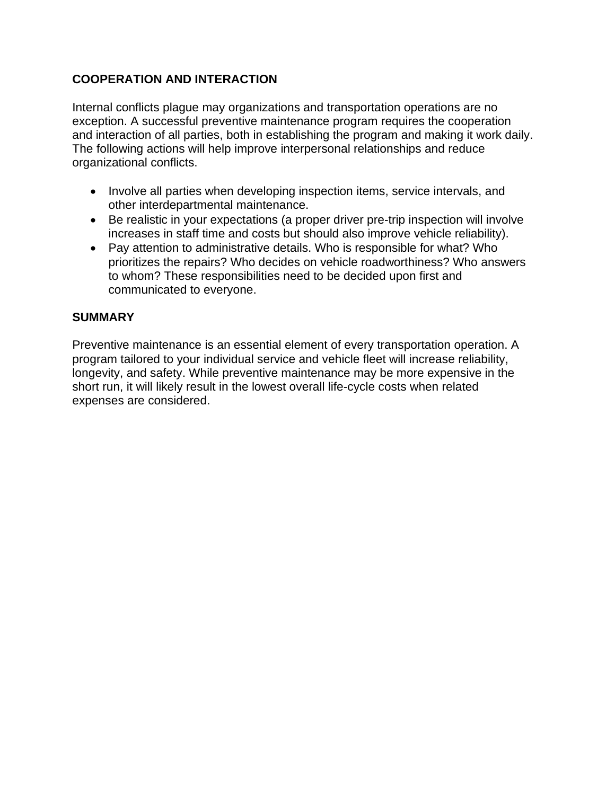## **COOPERATION AND INTERACTION**

Internal conflicts plague may organizations and transportation operations are no exception. A successful preventive maintenance program requires the cooperation and interaction of all parties, both in establishing the program and making it work daily. The following actions will help improve interpersonal relationships and reduce organizational conflicts.

- Involve all parties when developing inspection items, service intervals, and other interdepartmental maintenance.
- Be realistic in your expectations (a proper driver pre-trip inspection will involve increases in staff time and costs but should also improve vehicle reliability).
- Pay attention to administrative details. Who is responsible for what? Who prioritizes the repairs? Who decides on vehicle roadworthiness? Who answers to whom? These responsibilities need to be decided upon first and communicated to everyone.

#### **SUMMARY**

Preventive maintenance is an essential element of every transportation operation. A program tailored to your individual service and vehicle fleet will increase reliability, longevity, and safety. While preventive maintenance may be more expensive in the short run, it will likely result in the lowest overall life-cycle costs when related expenses are considered.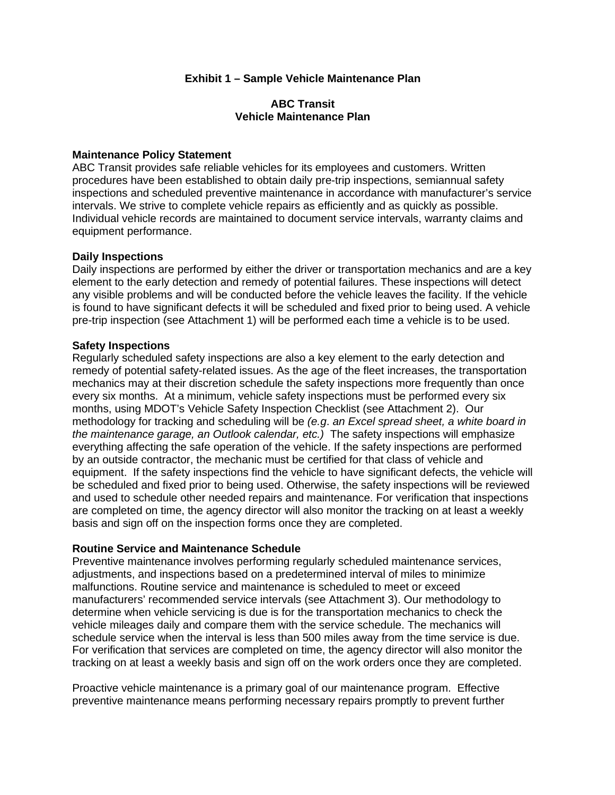#### **Exhibit 1 – Sample Vehicle Maintenance Plan**

#### **ABC Transit Vehicle Maintenance Plan**

#### **Maintenance Policy Statement**

ABC Transit provides safe reliable vehicles for its employees and customers. Written procedures have been established to obtain daily pre-trip inspections, semiannual safety inspections and scheduled preventive maintenance in accordance with manufacturer's service intervals. We strive to complete vehicle repairs as efficiently and as quickly as possible. Individual vehicle records are maintained to document service intervals, warranty claims and equipment performance.

#### **Daily Inspections**

Daily inspections are performed by either the driver or transportation mechanics and are a key element to the early detection and remedy of potential failures. These inspections will detect any visible problems and will be conducted before the vehicle leaves the facility. If the vehicle is found to have significant defects it will be scheduled and fixed prior to being used. A vehicle pre-trip inspection (see Attachment 1) will be performed each time a vehicle is to be used.

#### **Safety Inspections**

Regularly scheduled safety inspections are also a key element to the early detection and remedy of potential safety-related issues. As the age of the fleet increases, the transportation mechanics may at their discretion schedule the safety inspections more frequently than once every six months. At a minimum, vehicle safety inspections must be performed every six months, using MDOT's Vehicle Safety Inspection Checklist (see Attachment 2). Our methodology for tracking and scheduling will be *(e.g*. *an Excel spread sheet, a white board in the maintenance garage, an Outlook calendar, etc.)* The safety inspections will emphasize everything affecting the safe operation of the vehicle. If the safety inspections are performed by an outside contractor, the mechanic must be certified for that class of vehicle and equipment. If the safety inspections find the vehicle to have significant defects, the vehicle will be scheduled and fixed prior to being used. Otherwise, the safety inspections will be reviewed and used to schedule other needed repairs and maintenance. For verification that inspections are completed on time, the agency director will also monitor the tracking on at least a weekly basis and sign off on the inspection forms once they are completed.

#### **Routine Service and Maintenance Schedule**

Preventive maintenance involves performing regularly scheduled maintenance services, adjustments, and inspections based on a predetermined interval of miles to minimize malfunctions. Routine service and maintenance is scheduled to meet or exceed manufacturers' recommended service intervals (see Attachment 3). Our methodology to determine when vehicle servicing is due is for the transportation mechanics to check the vehicle mileages daily and compare them with the service schedule. The mechanics will schedule service when the interval is less than 500 miles away from the time service is due. For verification that services are completed on time, the agency director will also monitor the tracking on at least a weekly basis and sign off on the work orders once they are completed.

Proactive vehicle maintenance is a primary goal of our maintenance program. Effective preventive maintenance means performing necessary repairs promptly to prevent further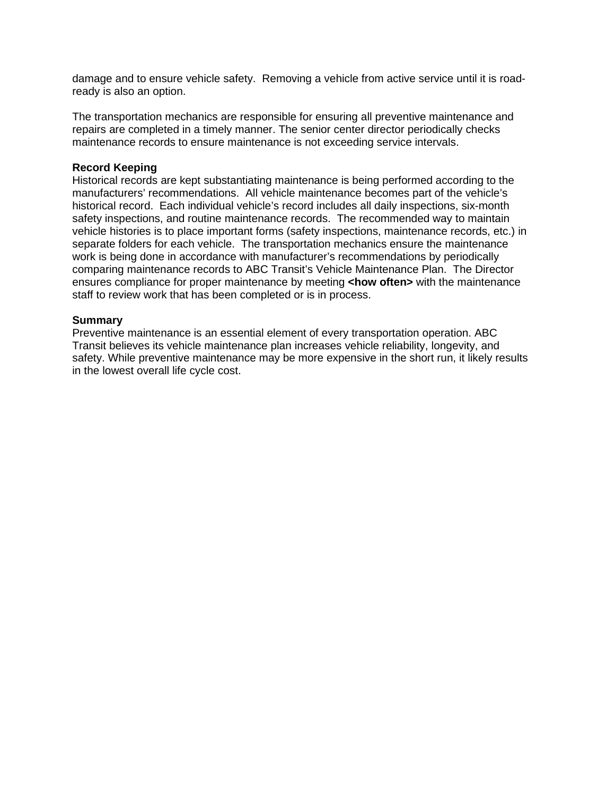damage and to ensure vehicle safety. Removing a vehicle from active service until it is roadready is also an option.

The transportation mechanics are responsible for ensuring all preventive maintenance and repairs are completed in a timely manner. The senior center director periodically checks maintenance records to ensure maintenance is not exceeding service intervals.

#### **Record Keeping**

Historical records are kept substantiating maintenance is being performed according to the manufacturers' recommendations. All vehicle maintenance becomes part of the vehicle's historical record. Each individual vehicle's record includes all daily inspections, six-month safety inspections, and routine maintenance records. The recommended way to maintain vehicle histories is to place important forms (safety inspections, maintenance records, etc.) in separate folders for each vehicle. The transportation mechanics ensure the maintenance work is being done in accordance with manufacturer's recommendations by periodically comparing maintenance records to ABC Transit's Vehicle Maintenance Plan. The Director ensures compliance for proper maintenance by meeting <how often> with the maintenance staff to review work that has been completed or is in process.

#### **Summary**

Preventive maintenance is an essential element of every transportation operation. ABC Transit believes its vehicle maintenance plan increases vehicle reliability, longevity, and safety. While preventive maintenance may be more expensive in the short run, it likely results in the lowest overall life cycle cost.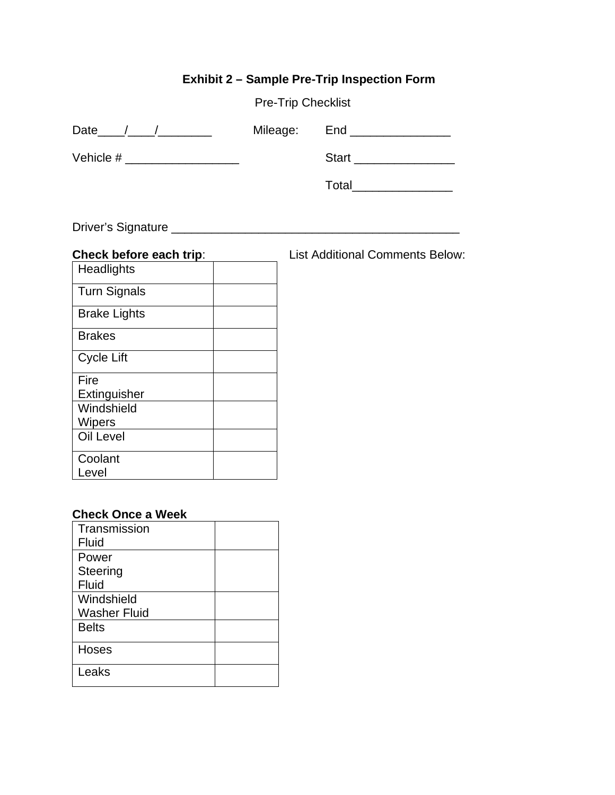## **Exhibit 2 – Sample Pre-Trip Inspection Form**

| <b>Pre-Trip Checklist</b> |  |
|---------------------------|--|
|---------------------------|--|

| Date      | Mileage: | End          |
|-----------|----------|--------------|
| Vehicle # |          | <b>Start</b> |

Total\_\_\_\_\_\_\_\_\_\_\_\_\_\_\_

List Additional Comments Below:

Driver's Signature \_\_\_\_\_\_\_\_\_\_\_\_\_\_\_\_\_\_\_\_\_\_\_\_\_\_\_\_\_\_\_\_\_\_\_\_\_\_\_\_\_\_\_

| Check before each trip: |  |
|-------------------------|--|
| Headlights              |  |
| <b>Turn Signals</b>     |  |
| <b>Brake Lights</b>     |  |
| <b>Brakes</b>           |  |
| Cycle Lift              |  |
| Fire                    |  |
| Extinguisher            |  |
| Windshield              |  |
| Wipers                  |  |
| <b>Oil Level</b>        |  |
| Coolant                 |  |
| Level                   |  |

### **Check Once a Week**

| Transmission        |  |
|---------------------|--|
| Fluid               |  |
| Power               |  |
| Steering            |  |
| <b>Fluid</b>        |  |
| Windshield          |  |
| <b>Washer Fluid</b> |  |
| <b>Belts</b>        |  |
| <b>Hoses</b>        |  |
| Leaks               |  |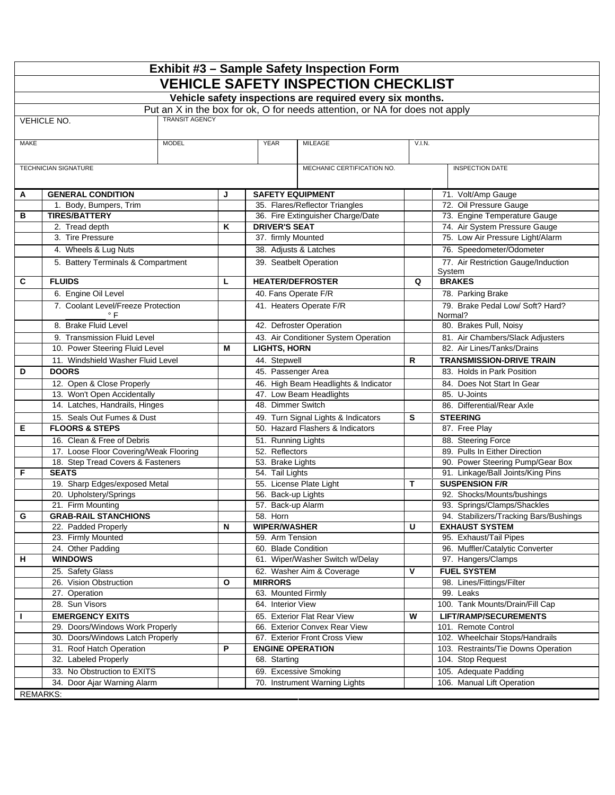|                                                  | Exhibit #3 - Sample Safety Inspection Form                            |                       |   |                                     |                                                                             |        |                                                                 |  |
|--------------------------------------------------|-----------------------------------------------------------------------|-----------------------|---|-------------------------------------|-----------------------------------------------------------------------------|--------|-----------------------------------------------------------------|--|
| <b>VEHICLE SAFETY INSPECTION CHECKLIST</b>       |                                                                       |                       |   |                                     |                                                                             |        |                                                                 |  |
|                                                  |                                                                       |                       |   |                                     | Vehicle safety inspections are required every six months.                   |        |                                                                 |  |
|                                                  |                                                                       |                       |   |                                     | Put an X in the box for ok, O for needs attention, or NA for does not apply |        |                                                                 |  |
|                                                  | <b>VEHICLE NO.</b>                                                    | <b>TRANSIT AGENCY</b> |   |                                     |                                                                             |        |                                                                 |  |
|                                                  |                                                                       |                       |   |                                     |                                                                             |        |                                                                 |  |
| MAKE                                             |                                                                       | <b>MODEL</b>          |   | <b>YEAR</b>                         | <b>MILEAGE</b>                                                              | V.I.N. |                                                                 |  |
|                                                  |                                                                       |                       |   |                                     |                                                                             |        |                                                                 |  |
|                                                  | <b>TECHNICIAN SIGNATURE</b>                                           |                       |   |                                     | MECHANIC CERTIFICATION NO.                                                  |        | <b>INSPECTION DATE</b>                                          |  |
| Α                                                | <b>GENERAL CONDITION</b>                                              |                       | J | <b>SAFETY EQUIPMENT</b>             |                                                                             |        | 71. Volt/Amp Gauge                                              |  |
|                                                  | 1. Body, Bumpers, Trim                                                |                       |   |                                     | 35. Flares/Reflector Triangles                                              |        | 72. Oil Pressure Gauge                                          |  |
| в                                                | <b>TIRES/BATTERY</b>                                                  |                       |   |                                     | 36. Fire Extinguisher Charge/Date                                           |        | 73. Engine Temperature Gauge                                    |  |
|                                                  | 2. Tread depth                                                        |                       | Κ | <b>DRIVER'S SEAT</b>                |                                                                             |        | 74. Air System Pressure Gauge                                   |  |
|                                                  | 3. Tire Pressure                                                      |                       |   | 37. firmly Mounted                  |                                                                             |        | 75. Low Air Pressure Light/Alarm                                |  |
|                                                  | 4. Wheels & Lug Nuts                                                  |                       |   | 38. Adjusts & Latches               |                                                                             |        | 76. Speedometer/Odometer                                        |  |
|                                                  | 5. Battery Terminals & Compartment                                    |                       |   |                                     | 39. Seatbelt Operation                                                      |        | 77. Air Restriction Gauge/Induction<br>System                   |  |
| C                                                | <b>FLUIDS</b>                                                         |                       | L | <b>HEATER/DEFROSTER</b>             |                                                                             | Q      | <b>BRAKES</b>                                                   |  |
|                                                  | 6. Engine Oil Level                                                   |                       |   | 40. Fans Operate F/R                |                                                                             |        | 78. Parking Brake                                               |  |
|                                                  | 7. Coolant Level/Freeze Protection                                    |                       |   |                                     | 41. Heaters Operate F/R                                                     |        | 79. Brake Pedal Low/ Soft? Hard?                                |  |
|                                                  | $\degree$ F<br>8. Brake Fluid Level                                   |                       |   |                                     | 42. Defroster Operation                                                     |        | Normal?<br>80. Brakes Pull, Noisy                               |  |
|                                                  | 9. Transmission Fluid Level                                           |                       |   |                                     | 43. Air Conditioner System Operation                                        |        | 81. Air Chambers/Slack Adjusters                                |  |
|                                                  | 10. Power Steering Fluid Level                                        |                       | м | <b>LIGHTS, HORN</b>                 |                                                                             |        | 82. Air Lines/Tanks/Drains                                      |  |
|                                                  | 11. Windshield Washer Fluid Level                                     |                       |   | 44. Stepwell                        |                                                                             | R      | <b>TRANSMISSION-DRIVE TRAIN</b>                                 |  |
| D                                                | <b>DOORS</b>                                                          |                       |   | 45. Passenger Area                  |                                                                             |        | 83. Holds in Park Position                                      |  |
|                                                  | 12. Open & Close Properly                                             |                       |   |                                     | 46. High Beam Headlights & Indicator                                        |        | 84. Does Not Start In Gear                                      |  |
|                                                  | 13. Won't Open Accidentally                                           |                       |   |                                     | 47. Low Beam Headlights                                                     |        | 85. U-Joints                                                    |  |
|                                                  | 14. Latches, Handrails, Hinges                                        | 48. Dimmer Switch     |   |                                     | 86. Differential/Rear Axle                                                  |        |                                                                 |  |
|                                                  | 15. Seals Out Fumes & Dust                                            |                       |   | 49. Turn Signal Lights & Indicators |                                                                             | s      | <b>STEERING</b>                                                 |  |
| Е                                                | <b>FLOORS &amp; STEPS</b><br>50. Hazard Flashers & Indicators         |                       |   | 87. Free Play                       |                                                                             |        |                                                                 |  |
| 16. Clean & Free of Debris<br>51. Running Lights |                                                                       |                       |   | 88. Steering Force                  |                                                                             |        |                                                                 |  |
|                                                  | 17. Loose Floor Covering/Weak Flooring                                |                       |   | 52. Reflectors                      |                                                                             |        | 89. Pulls In Either Direction                                   |  |
|                                                  | 18. Step Tread Covers & Fasteners                                     |                       |   | 53. Brake Lights                    |                                                                             |        | 90. Power Steering Pump/Gear Box                                |  |
| F                                                | <b>SEATS</b>                                                          |                       |   | 54. Tail Lights                     |                                                                             |        | 91. Linkage/Ball Joints/King Pins                               |  |
|                                                  | 19. Sharp Edges/exposed Metal                                         |                       |   |                                     | 55. License Plate Light                                                     | Т      | <b>SUSPENSION F/R</b>                                           |  |
|                                                  | 20. Upholstery/Springs                                                |                       |   | 56. Back-up Lights                  |                                                                             |        | 92. Shocks/Mounts/bushings                                      |  |
|                                                  | 21. Firm Mounting<br>57. Back-up Alarm<br>93. Springs/Clamps/Shackles |                       |   |                                     |                                                                             |        |                                                                 |  |
| G                                                | <b>GRAB-RAIL STANCHIONS</b><br>22. Padded Properly                    |                       | N | 58. Horn<br><b>WIPER/WASHER</b>     |                                                                             | U      | 94. Stabilizers/Tracking Bars/Bushings<br><b>EXHAUST SYSTEM</b> |  |
|                                                  | 23. Firmly Mounted                                                    |                       |   | 59. Arm Tension                     |                                                                             |        | 95. Exhaust/Tail Pipes                                          |  |
|                                                  | 24. Other Padding                                                     |                       |   | 60. Blade Condition                 |                                                                             |        | 96. Muffler/Catalytic Converter                                 |  |
| н                                                | <b>WINDOWS</b>                                                        |                       |   |                                     | 61. Wiper/Washer Switch w/Delay                                             |        | 97. Hangers/Clamps                                              |  |
|                                                  | 25. Safety Glass                                                      |                       |   |                                     | 62. Washer Aim & Coverage                                                   | ٧      | <b>FUEL SYSTEM</b>                                              |  |
|                                                  | 26. Vision Obstruction                                                |                       | O | <b>MIRRORS</b>                      |                                                                             |        | 98. Lines/Fittings/Filter                                       |  |
|                                                  | 27. Operation                                                         |                       |   | 63. Mounted Firmly                  |                                                                             |        | Leaks<br>99.                                                    |  |
|                                                  | 28. Sun Visors                                                        |                       |   | 64. Interior View                   |                                                                             |        | 100. Tank Mounts/Drain/Fill Cap                                 |  |
| I.                                               | <b>EMERGENCY EXITS</b>                                                |                       |   |                                     | 65. Exterior Flat Rear View                                                 | W      | <b>LIFT/RAMP/SECUREMENTS</b>                                    |  |
|                                                  | 29. Doors/Windows Work Properly                                       |                       |   |                                     | 66. Exterior Convex Rear View                                               |        | 101. Remote Control                                             |  |
|                                                  | 30. Doors/Windows Latch Properly                                      |                       |   | 67. Exterior Front Cross View       |                                                                             |        | 102. Wheelchair Stops/Handrails                                 |  |
|                                                  | 31. Roof Hatch Operation                                              |                       | P | <b>ENGINE OPERATION</b>             |                                                                             |        | 103. Restraints/Tie Downs Operation                             |  |
|                                                  | 32. Labeled Properly                                                  |                       |   | 68. Starting                        |                                                                             |        | 104. Stop Request                                               |  |
|                                                  | 33. No Obstruction to EXITS                                           |                       |   |                                     | 69. Excessive Smoking                                                       |        | 105. Adequate Padding                                           |  |
|                                                  | Door Ajar Warning Alarm<br>34.                                        |                       |   |                                     | 70. Instrument Warning Lights                                               |        | 106. Manual Lift Operation                                      |  |
|                                                  | <b>REMARKS:</b>                                                       |                       |   |                                     |                                                                             |        |                                                                 |  |